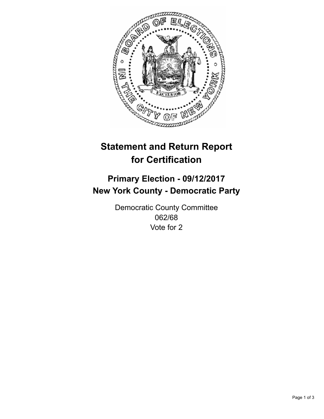

## **Statement and Return Report for Certification**

## **Primary Election - 09/12/2017 New York County - Democratic Party**

Democratic County Committee 062/68 Vote for 2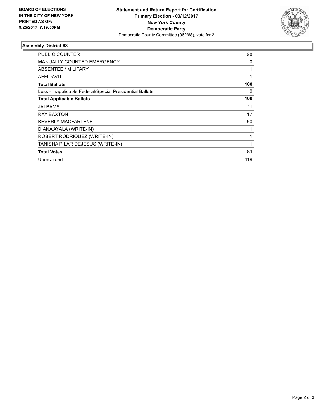

## **Assembly District 68**

| PUBLIC COUNTER                                           | 98  |
|----------------------------------------------------------|-----|
| <b>MANUALLY COUNTED EMERGENCY</b>                        | 0   |
| ABSENTEE / MILITARY                                      | 1   |
| AFFIDAVIT                                                |     |
| <b>Total Ballots</b>                                     | 100 |
| Less - Inapplicable Federal/Special Presidential Ballots | 0   |
| <b>Total Applicable Ballots</b>                          | 100 |
| JAI BAMS                                                 | 11  |
| <b>RAY BAXTON</b>                                        | 17  |
| <b>BEVERLY MACFARLENE</b>                                | 50  |
| DIANA AYALA (WRITE-IN)                                   | 1   |
| ROBERT RODRIQUEZ (WRITE-IN)                              | 1   |
| TANISHA PILAR DEJESUS (WRITE-IN)                         |     |
| <b>Total Votes</b>                                       | 81  |
| Unrecorded                                               | 119 |